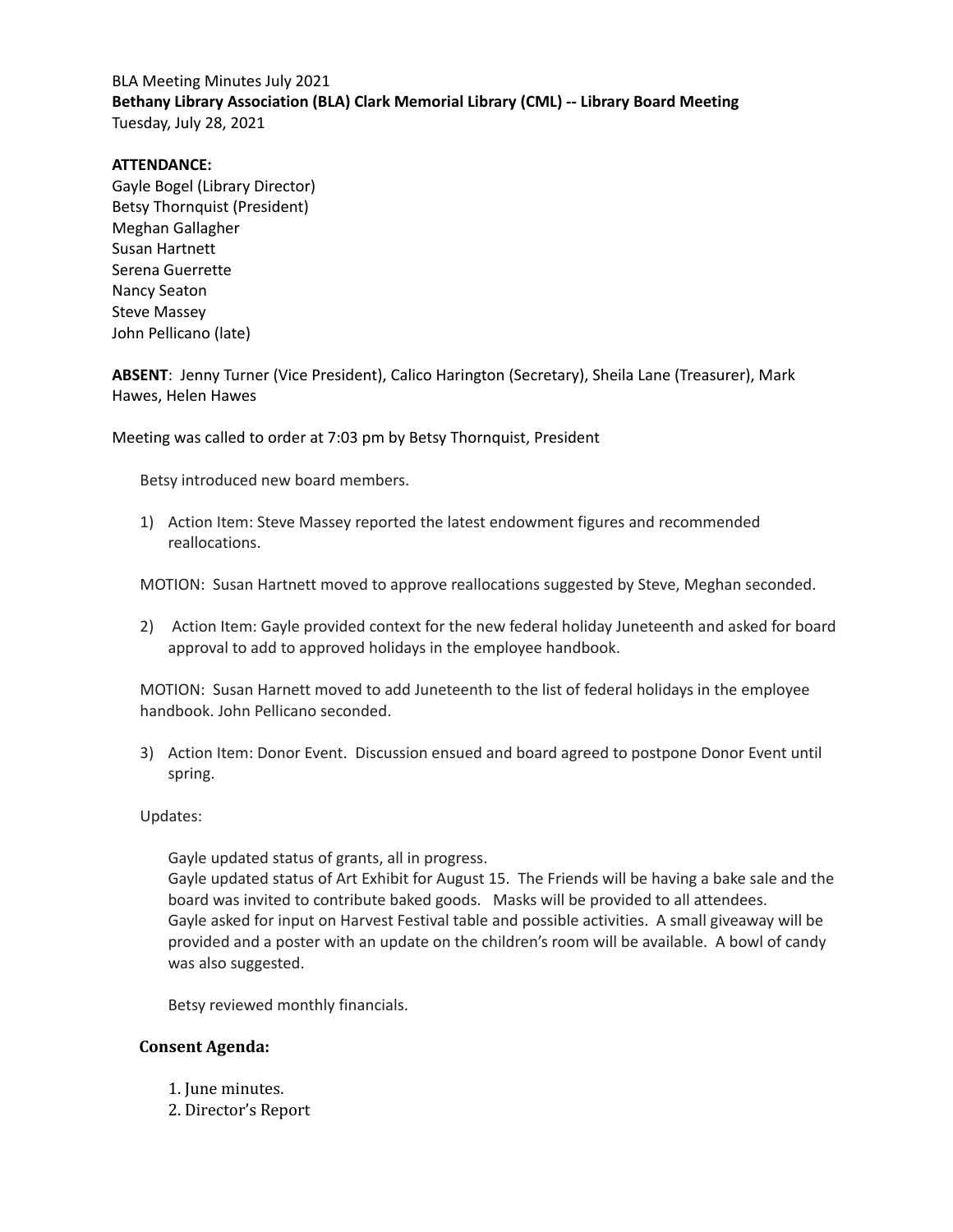## BLA Meeting Minutes July 2021 **Bethany Library Association (BLA) Clark Memorial Library (CML) -- Library Board Meeting** Tuesday, July 28, 2021

#### **ATTENDANCE:**

Gayle Bogel (Library Director) Betsy Thornquist (President) Meghan Gallagher Susan Hartnett Serena Guerrette Nancy Seaton Steve Massey John Pellicano (late)

**ABSENT**: Jenny Turner (Vice President), Calico Harington (Secretary), Sheila Lane (Treasurer), Mark Hawes, Helen Hawes

Meeting was called to order at 7:03 pm by Betsy Thornquist, President

Betsy introduced new board members.

1) Action Item: Steve Massey reported the latest endowment figures and recommended reallocations.

MOTION: Susan Hartnett moved to approve reallocations suggested by Steve, Meghan seconded.

2) Action Item: Gayle provided context for the new federal holiday Juneteenth and asked for board approval to add to approved holidays in the employee handbook.

MOTION: Susan Harnett moved to add Juneteenth to the list of federal holidays in the employee handbook. John Pellicano seconded.

3) Action Item: Donor Event. Discussion ensued and board agreed to postpone Donor Event until spring.

#### Updates:

Gayle updated status of grants, all in progress.

Gayle updated status of Art Exhibit for August 15. The Friends will be having a bake sale and the board was invited to contribute baked goods. Masks will be provided to all attendees. Gayle asked for input on Harvest Festival table and possible activities. A small giveaway will be provided and a poster with an update on the children's room will be available. A bowl of candy was also suggested.

Betsy reviewed monthly financials.

### **Consent Agenda:**

- 1. June minutes.
- 2. Director's Report